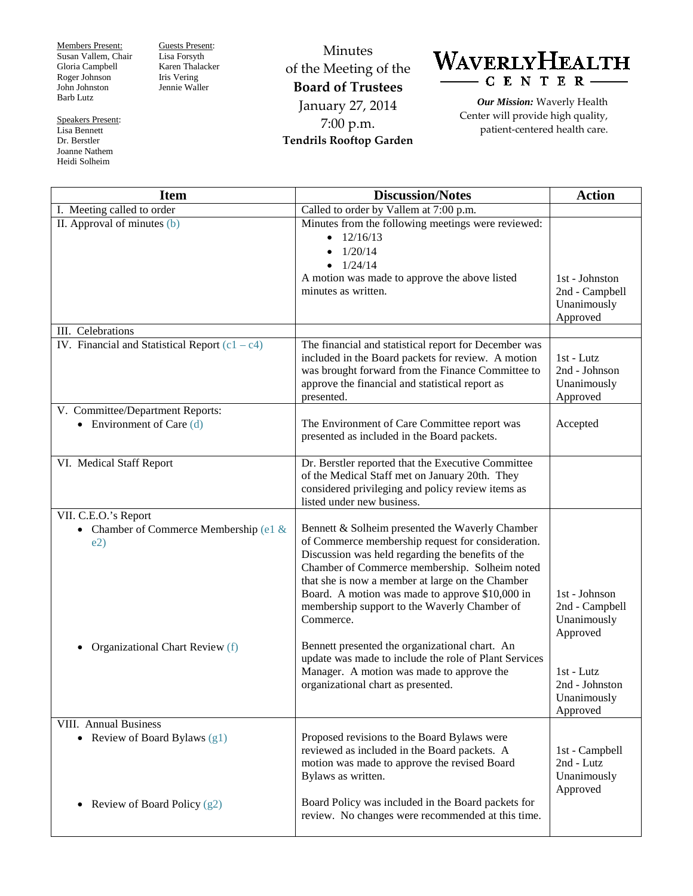Members Present: Susan Vallem, Chair Gloria Campbell Roger Johnson John Johnston Barb Lutz

Speakers Present: Lisa Bennett Dr. Berstler

Joanne Nathem Heidi Solheim

Guests Present: Lisa Forsyth Karen Thalacker Iris Vering Jennie Waller

Minutes of the Meeting of the **Board of Trustees** January 27, 2014 7:00 p.m. **Tendrils Rooftop Garden**



*Our Mission:* Waverly Health Center will provide high quality, patient-centered health care.

| <b>Item</b>                                      | <b>Discussion/Notes</b>                                                                                                                                                                                                                                                                                                                                                        | <b>Action</b>                                               |
|--------------------------------------------------|--------------------------------------------------------------------------------------------------------------------------------------------------------------------------------------------------------------------------------------------------------------------------------------------------------------------------------------------------------------------------------|-------------------------------------------------------------|
| I. Meeting called to order                       | Called to order by Vallem at 7:00 p.m.                                                                                                                                                                                                                                                                                                                                         |                                                             |
| II. Approval of minutes (b)                      | Minutes from the following meetings were reviewed:<br>$\bullet$ 12/16/13<br>$\bullet$ 1/20/14<br>$\bullet$ 1/24/14<br>A motion was made to approve the above listed<br>minutes as written.                                                                                                                                                                                     | 1st - Johnston<br>2nd - Campbell<br>Unanimously<br>Approved |
| III. Celebrations                                |                                                                                                                                                                                                                                                                                                                                                                                |                                                             |
| IV. Financial and Statistical Report $(c1 - c4)$ | The financial and statistical report for December was<br>included in the Board packets for review. A motion<br>was brought forward from the Finance Committee to<br>approve the financial and statistical report as<br>presented.                                                                                                                                              | $1st$ - Lutz<br>2nd - Johnson<br>Unanimously<br>Approved    |
| V. Committee/Department Reports:                 |                                                                                                                                                                                                                                                                                                                                                                                |                                                             |
| • Environment of Care $(d)$                      | The Environment of Care Committee report was<br>presented as included in the Board packets.                                                                                                                                                                                                                                                                                    | Accepted                                                    |
| VI. Medical Staff Report                         | Dr. Berstler reported that the Executive Committee<br>of the Medical Staff met on January 20th. They<br>considered privileging and policy review items as<br>listed under new business.                                                                                                                                                                                        |                                                             |
| VII. C.E.O.'s Report                             |                                                                                                                                                                                                                                                                                                                                                                                |                                                             |
| • Chamber of Commerce Membership (e1 &<br>e2)    | Bennett & Solheim presented the Waverly Chamber<br>of Commerce membership request for consideration.<br>Discussion was held regarding the benefits of the<br>Chamber of Commerce membership. Solheim noted<br>that she is now a member at large on the Chamber<br>Board. A motion was made to approve \$10,000 in<br>membership support to the Waverly Chamber of<br>Commerce. | 1st - Johnson<br>2nd - Campbell<br>Unanimously<br>Approved  |
| Organizational Chart Review (f)                  | Bennett presented the organizational chart. An<br>update was made to include the role of Plant Services<br>Manager. A motion was made to approve the<br>organizational chart as presented.                                                                                                                                                                                     | $1st - Lutz$<br>2nd - Johnston<br>Unanimously<br>Approved   |
| <b>VIII.</b> Annual Business                     |                                                                                                                                                                                                                                                                                                                                                                                |                                                             |
| • Review of Board Bylaws $(g1)$                  | Proposed revisions to the Board Bylaws were<br>reviewed as included in the Board packets. A<br>motion was made to approve the revised Board<br>Bylaws as written.                                                                                                                                                                                                              | 1st - Campbell<br>2nd - Lutz<br>Unanimously<br>Approved     |
| Review of Board Policy (g2)<br>٠                 | Board Policy was included in the Board packets for<br>review. No changes were recommended at this time.                                                                                                                                                                                                                                                                        |                                                             |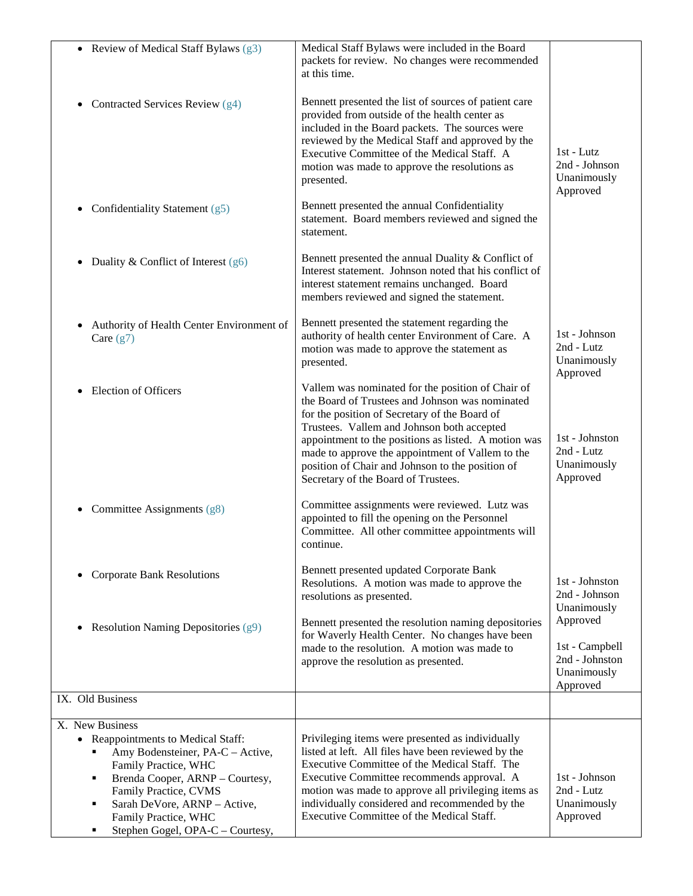| • Review of Medical Staff Bylaws $(g3)$                                                                                                                                                                                                                                             | Medical Staff Bylaws were included in the Board<br>packets for review. No changes were recommended<br>at this time.                                                                                                                                                                                                                                                                                        |                                                                         |
|-------------------------------------------------------------------------------------------------------------------------------------------------------------------------------------------------------------------------------------------------------------------------------------|------------------------------------------------------------------------------------------------------------------------------------------------------------------------------------------------------------------------------------------------------------------------------------------------------------------------------------------------------------------------------------------------------------|-------------------------------------------------------------------------|
| • Contracted Services Review $(g4)$                                                                                                                                                                                                                                                 | Bennett presented the list of sources of patient care<br>provided from outside of the health center as<br>included in the Board packets. The sources were<br>reviewed by the Medical Staff and approved by the<br>Executive Committee of the Medical Staff. A<br>motion was made to approve the resolutions as<br>presented.                                                                               | $1st - Lutz$<br>2nd - Johnson<br>Unanimously<br>Approved                |
| • Confidentiality Statement $(g5)$                                                                                                                                                                                                                                                  | Bennett presented the annual Confidentiality<br>statement. Board members reviewed and signed the<br>statement.                                                                                                                                                                                                                                                                                             |                                                                         |
| • Duality & Conflict of Interest $(g6)$                                                                                                                                                                                                                                             | Bennett presented the annual Duality & Conflict of<br>Interest statement. Johnson noted that his conflict of<br>interest statement remains unchanged. Board<br>members reviewed and signed the statement.                                                                                                                                                                                                  |                                                                         |
| Authority of Health Center Environment of<br>Care $(g7)$                                                                                                                                                                                                                            | Bennett presented the statement regarding the<br>authority of health center Environment of Care. A<br>motion was made to approve the statement as<br>presented.                                                                                                                                                                                                                                            | 1st - Johnson<br>2nd - Lutz<br>Unanimously<br>Approved                  |
| • Election of Officers                                                                                                                                                                                                                                                              | Vallem was nominated for the position of Chair of<br>the Board of Trustees and Johnson was nominated<br>for the position of Secretary of the Board of<br>Trustees. Vallem and Johnson both accepted<br>appointment to the positions as listed. A motion was<br>made to approve the appointment of Vallem to the<br>position of Chair and Johnson to the position of<br>Secretary of the Board of Trustees. | 1st - Johnston<br>2nd - Lutz<br>Unanimously<br>Approved                 |
| • Committee Assignments (g8)                                                                                                                                                                                                                                                        | Committee assignments were reviewed. Lutz was<br>appointed to fill the opening on the Personnel<br>Committee. All other committee appointments will<br>continue.                                                                                                                                                                                                                                           |                                                                         |
| <b>Corporate Bank Resolutions</b>                                                                                                                                                                                                                                                   | Bennett presented updated Corporate Bank<br>Resolutions. A motion was made to approve the<br>resolutions as presented.                                                                                                                                                                                                                                                                                     | 1st - Johnston<br>2nd - Johnson<br>Unanimously                          |
| • Resolution Naming Depositories $(g9)$                                                                                                                                                                                                                                             | Bennett presented the resolution naming depositories<br>for Waverly Health Center. No changes have been<br>made to the resolution. A motion was made to<br>approve the resolution as presented.                                                                                                                                                                                                            | Approved<br>1st - Campbell<br>2nd - Johnston<br>Unanimously<br>Approved |
| IX. Old Business                                                                                                                                                                                                                                                                    |                                                                                                                                                                                                                                                                                                                                                                                                            |                                                                         |
| X. New Business<br>• Reappointments to Medical Staff:<br>Amy Bodensteiner, PA-C - Active,<br>Family Practice, WHC<br>Brenda Cooper, ARNP - Courtesy,<br>٠<br>Family Practice, CVMS<br>Sarah DeVore, ARNP - Active,<br>٠<br>Family Practice, WHC<br>Stephen Gogel, OPA-C - Courtesy, | Privileging items were presented as individually<br>listed at left. All files have been reviewed by the<br>Executive Committee of the Medical Staff. The<br>Executive Committee recommends approval. A<br>motion was made to approve all privileging items as<br>individually considered and recommended by the<br>Executive Committee of the Medical Staff.                                               | 1st - Johnson<br>2nd - Lutz<br>Unanimously<br>Approved                  |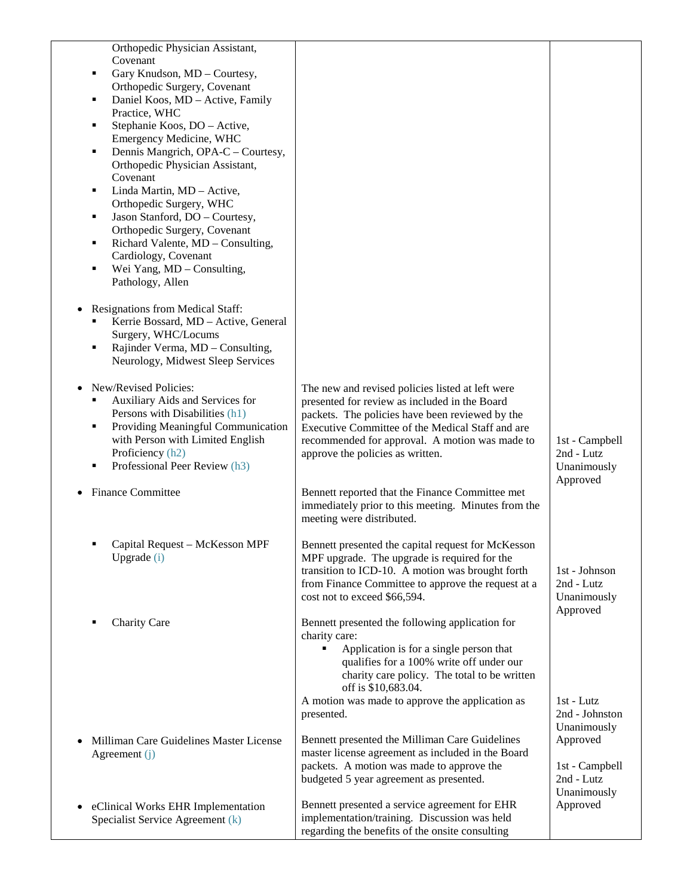| Orthopedic Physician Assistant,                                           |                                                                                                     |                |
|---------------------------------------------------------------------------|-----------------------------------------------------------------------------------------------------|----------------|
| Covenant                                                                  |                                                                                                     |                |
| Gary Knudson, MD - Courtesy,<br>٠                                         |                                                                                                     |                |
| Orthopedic Surgery, Covenant                                              |                                                                                                     |                |
| Daniel Koos, MD - Active, Family<br>٠                                     |                                                                                                     |                |
| Practice, WHC                                                             |                                                                                                     |                |
| Stephanie Koos, DO - Active,<br>٠                                         |                                                                                                     |                |
| Emergency Medicine, WHC                                                   |                                                                                                     |                |
| Dennis Mangrich, OPA-C - Courtesy,<br>٠                                   |                                                                                                     |                |
| Orthopedic Physician Assistant,<br>Covenant                               |                                                                                                     |                |
| Linda Martin, MD - Active,<br>٠                                           |                                                                                                     |                |
| Orthopedic Surgery, WHC                                                   |                                                                                                     |                |
| Jason Stanford, DO - Courtesy,<br>٠                                       |                                                                                                     |                |
| Orthopedic Surgery, Covenant                                              |                                                                                                     |                |
| Richard Valente, MD - Consulting,<br>٠                                    |                                                                                                     |                |
| Cardiology, Covenant                                                      |                                                                                                     |                |
| Wei Yang, MD - Consulting,<br>п                                           |                                                                                                     |                |
| Pathology, Allen                                                          |                                                                                                     |                |
| <b>Resignations from Medical Staff:</b>                                   |                                                                                                     |                |
| Kerrie Bossard, MD - Active, General                                      |                                                                                                     |                |
| Surgery, WHC/Locums                                                       |                                                                                                     |                |
| Rajinder Verma, MD - Consulting,<br>٠                                     |                                                                                                     |                |
| Neurology, Midwest Sleep Services                                         |                                                                                                     |                |
|                                                                           |                                                                                                     |                |
| New/Revised Policies:                                                     | The new and revised policies listed at left were                                                    |                |
| Auxiliary Aids and Services for<br>٠                                      | presented for review as included in the Board                                                       |                |
| Persons with Disabilities (h1)<br>Providing Meaningful Communication<br>٠ | packets. The policies have been reviewed by the<br>Executive Committee of the Medical Staff and are |                |
| with Person with Limited English                                          | recommended for approval. A motion was made to                                                      | 1st - Campbell |
| Proficiency (h2)                                                          | approve the policies as written.                                                                    | 2nd - Lutz     |
| Professional Peer Review (h3)<br>п                                        |                                                                                                     | Unanimously    |
|                                                                           |                                                                                                     | Approved       |
| <b>Finance Committee</b>                                                  | Bennett reported that the Finance Committee met                                                     |                |
|                                                                           | immediately prior to this meeting. Minutes from the                                                 |                |
|                                                                           | meeting were distributed.                                                                           |                |
| Capital Request - McKesson MPF                                            | Bennett presented the capital request for McKesson                                                  |                |
| Upgrade (i)                                                               | MPF upgrade. The upgrade is required for the                                                        |                |
|                                                                           | transition to ICD-10. A motion was brought forth                                                    | 1st - Johnson  |
|                                                                           | from Finance Committee to approve the request at a                                                  | 2nd - Lutz     |
|                                                                           | cost not to exceed \$66,594.                                                                        | Unanimously    |
|                                                                           |                                                                                                     | Approved       |
| <b>Charity Care</b>                                                       | Bennett presented the following application for<br>charity care:                                    |                |
|                                                                           | Application is for a single person that                                                             |                |
|                                                                           | qualifies for a 100% write off under our                                                            |                |
|                                                                           | charity care policy. The total to be written                                                        |                |
|                                                                           | off is \$10,683.04.                                                                                 |                |
|                                                                           | A motion was made to approve the application as                                                     | $1st$ - Lutz   |
|                                                                           | presented.                                                                                          | 2nd - Johnston |
|                                                                           |                                                                                                     | Unanimously    |
| Milliman Care Guidelines Master License                                   | Bennett presented the Milliman Care Guidelines                                                      | Approved       |
| Agreement (j)                                                             | master license agreement as included in the Board<br>packets. A motion was made to approve the      | 1st - Campbell |
|                                                                           | budgeted 5 year agreement as presented.                                                             | 2nd - Lutz     |
|                                                                           |                                                                                                     | Unanimously    |
| eClinical Works EHR Implementation                                        | Bennett presented a service agreement for EHR                                                       | Approved       |
| Specialist Service Agreement (k)                                          | implementation/training. Discussion was held                                                        |                |
|                                                                           | regarding the benefits of the onsite consulting                                                     |                |